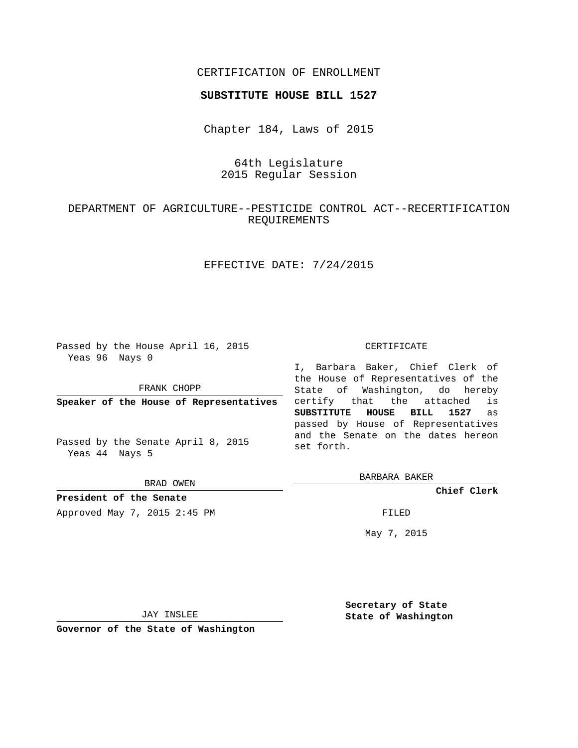### CERTIFICATION OF ENROLLMENT

#### **SUBSTITUTE HOUSE BILL 1527**

Chapter 184, Laws of 2015

# 64th Legislature 2015 Regular Session

# DEPARTMENT OF AGRICULTURE--PESTICIDE CONTROL ACT--RECERTIFICATION REQUIREMENTS

## EFFECTIVE DATE: 7/24/2015

Passed by the House April 16, 2015 Yeas 96 Nays 0

FRANK CHOPP

**Speaker of the House of Representatives**

Passed by the Senate April 8, 2015 Yeas 44 Nays 5

BRAD OWEN

**President of the Senate**

Approved May 7, 2015 2:45 PM FILED

#### CERTIFICATE

I, Barbara Baker, Chief Clerk of the House of Representatives of the State of Washington, do hereby certify that the attached is **SUBSTITUTE HOUSE BILL 1527** as passed by House of Representatives and the Senate on the dates hereon set forth.

BARBARA BAKER

**Chief Clerk**

May 7, 2015

JAY INSLEE

**Governor of the State of Washington**

**Secretary of State State of Washington**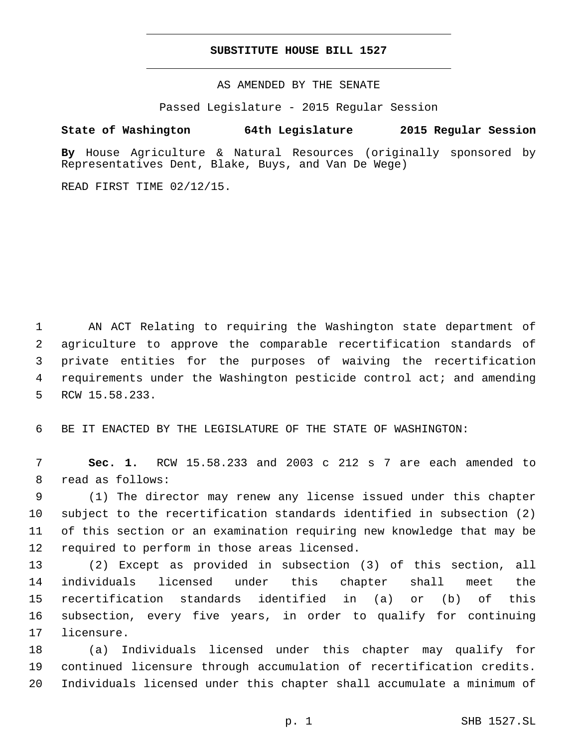#### **SUBSTITUTE HOUSE BILL 1527**

AS AMENDED BY THE SENATE

Passed Legislature - 2015 Regular Session

# **State of Washington 64th Legislature 2015 Regular Session**

**By** House Agriculture & Natural Resources (originally sponsored by Representatives Dent, Blake, Buys, and Van De Wege)

READ FIRST TIME 02/12/15.

 AN ACT Relating to requiring the Washington state department of agriculture to approve the comparable recertification standards of private entities for the purposes of waiving the recertification requirements under the Washington pesticide control act; and amending 5 RCW 15.58.233.

6 BE IT ENACTED BY THE LEGISLATURE OF THE STATE OF WASHINGTON:

7 **Sec. 1.** RCW 15.58.233 and 2003 c 212 s 7 are each amended to 8 read as follows:

 (1) The director may renew any license issued under this chapter subject to the recertification standards identified in subsection (2) of this section or an examination requiring new knowledge that may be 12 required to perform in those areas licensed.

 (2) Except as provided in subsection (3) of this section, all individuals licensed under this chapter shall meet the recertification standards identified in (a) or (b) of this subsection, every five years, in order to qualify for continuing 17 licensure.

18 (a) Individuals licensed under this chapter may qualify for 19 continued licensure through accumulation of recertification credits. 20 Individuals licensed under this chapter shall accumulate a minimum of